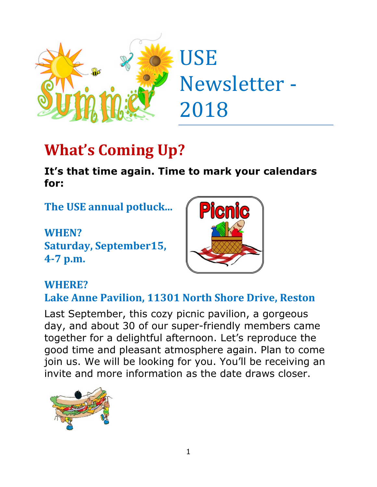

# **What's Coming Up?**

**It's that time again. Time to mark your calendars for:**

**The USE annual potluck...** 

**WHEN? Saturday, September15, 4-7 p.m.**



#### **WHERE?**

**Lake Anne Pavilion, 11301 North Shore Drive, Reston**

Last September, this cozy picnic pavilion, a gorgeous day, and about 30 of our super-friendly members came together for a delightful afternoon. Let's reproduce the good time and pleasant atmosphere again. Plan to come join us. We will be looking for you. You'll be receiving an invite and more information as the date draws closer.

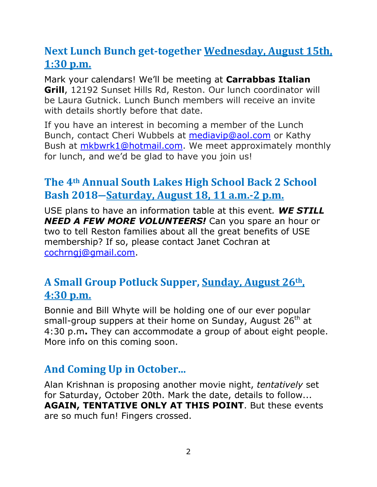## **Next Lunch Bunch get-together Wednesday, August 15th, 1:30 p.m.**

Mark your calendars! We'll be meeting at **Carrabbas Italian Grill**, 12192 Sunset Hills Rd, Reston. Our lunch coordinator will be Laura Gutnick. Lunch Bunch members will receive an invite with details shortly before that date.

If you have an interest in becoming a member of the Lunch Bunch, contact Cheri Wubbels at [mediavip@aol.com](mailto:mediavip@aol.com) or Kathy Bush at [mkbwrk1@hotmail.com.](mailto:mkbwrk1@hotmail.com) We meet approximately monthly for lunch, and we'd be glad to have you join us!

## **The 4th Annual South Lakes High School Back 2 School Bash 2018―Saturday, August 18, 11 a.m.-2 p.m.**

USE plans to have an information table at this event*. WE STILL NEED A FEW MORE VOLUNTEERS!* Can you spare an hour or two to tell Reston families about all the great benefits of USE membership? If so, please contact Janet Cochran at [cochrngj@gmail.com.](mailto:cochrngj@gmail.com)

## **A Small Group Potluck Supper, Sunday, August 26th , 4:30 p.m.**

Bonnie and Bill Whyte will be holding one of our ever popular small-group suppers at their home on Sunday, August 26<sup>th</sup> at 4:30 p.m**.** They can accommodate a group of about eight people. More info on this coming soon.

## **And Coming Up in October...**

Alan Krishnan is proposing another movie night, *tentatively* set for Saturday, October 20th. Mark the date, details to follow... **AGAIN, TENTATIVE ONLY AT THIS POINT**. But these events are so much fun! Fingers crossed.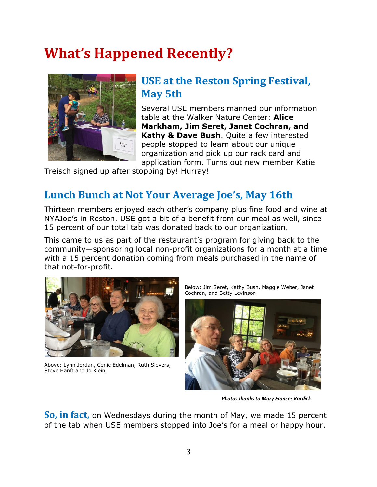## **What's Happened Recently?**



## **USE at the Reston Spring Festival, May 5th**

Several USE members manned our information table at the Walker Nature Center: **Alice Markham, Jim Seret, Janet Cochran, and Kathy & Dave Bush**. Quite a few interested people stopped to learn about our unique organization and pick up our rack card and application form. Turns out new member Katie

Treisch signed up after stopping by! Hurray!

#### **Lunch Bunch at Not Your Average Joe's, May 16th**

Thirteen members enjoyed each other's company plus fine food and wine at NYAJoe's in Reston. USE got a bit of a benefit from our meal as well, since 15 percent of our total tab was donated back to our organization.

This came to us as part of the restaurant's program for giving back to the community―sponsoring local non-profit organizations for a month at a time with a 15 percent donation coming from meals purchased in the name of that not-for-profit.



Above: Lynn Jordan, Cenie Edelman, Ruth Sievers, Steve Hanft and Jo Klein

Below: Jim Seret, Kathy Bush, Maggie Weber, Janet Cochran, and Betty Levinson



*Photos thanks to Mary Frances Kordick*

**So, in fact,** on Wednesdays during the month of May, we made 15 percent of the tab when USE members stopped into Joe's for a meal or happy hour.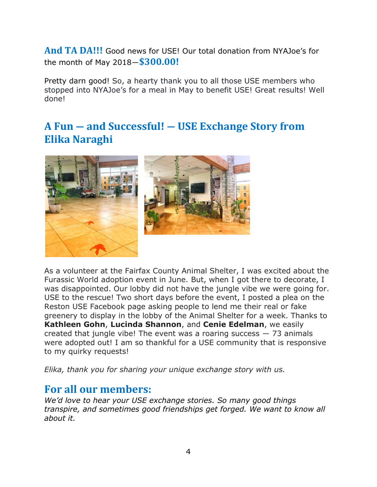**And TA DA!!!** Good news for USE! Our total donation from NYAJoe's for the month of May 2018―**\$300.00!** 

Pretty darn good! So, a hearty thank you to all those USE members who stopped into NYAJoe's for a meal in May to benefit USE! Great results! Well done!

#### **A Fun ― and Successful! ― USE Exchange Story from Elika Naraghi**





As a volunteer at the Fairfax County Animal Shelter, I was excited about the Furassic World adoption event in June. But, when I got there to decorate, I was disappointed. Our lobby did not have the jungle vibe we were going for. USE to the rescue! Two short days before the event, I posted a plea on the Reston USE Facebook page asking people to lend me their real or fake greenery to display in the lobby of the Animal Shelter for a week. Thanks to **Kathleen Gohn**, **Lucinda Shannon**, and **Cenie Edelman**, we easily created that jungle vibe! The event was a roaring success  $-73$  animals were adopted out! I am so thankful for a USE community that is responsive to my quirky requests!

*Elika, thank you for sharing your unique exchange story with us.* 

#### **For all our members:**

*We'd love to hear your USE exchange stories. So many good things transpire, and sometimes good friendships get forged. We want to know all about it.*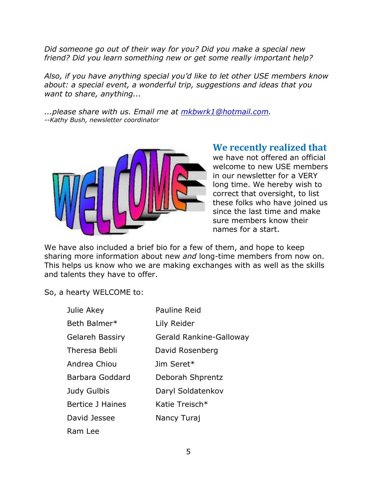*Did someone go out of their way for you? Did you make a special new friend? Did you learn something new or get some really important help?* 

*Also, if you have anything special you'd like to let other USE members know about: a special event, a wonderful trip, suggestions and ideas that you want to share, anything...*

*...please share with us. Email me at [mkbwrk1@hotmail.com.](mailto:mkbwrk1@hotmail.com) --Kathy Bush, newsletter coordinator*



#### **We recently realized that**

we have not offered an official welcome to new USE members in our newsletter for a VERY long time. We hereby wish to correct that oversight, to list these folks who have joined us since the last time and make sure members know their names for a start.

We have also included a brief bio for a few of them, and hope to keep sharing more information about new *and* long-time members from now on. This helps us know who we are making exchanges with as well as the skills and talents they have to offer.

So, a hearty WELCOME to:

| Julie Akey              | Pauline Reid            |
|-------------------------|-------------------------|
| Beth Balmer*            | Lily Reider             |
| <b>Gelareh Bassiry</b>  | Gerald Rankine-Galloway |
| Theresa Bebli           | David Rosenberg         |
| Andrea Chiou            | Jim Seret*              |
| Barbara Goddard         | Deborah Shprentz        |
| Judy Gulbis             | Daryl Soldatenkov       |
| <b>Bertice J Haines</b> | Katie Treisch*          |
| David Jessee            | Nancy Turaj             |
| Ram Lee                 |                         |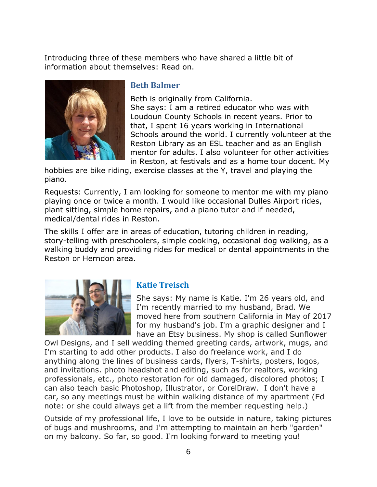Introducing three of these members who have shared a little bit of information about themselves: Read on.



#### **Beth Balmer**

Beth is originally from California. She says: I am a retired educator who was with Loudoun County Schools in recent years. Prior to that, I spent 16 years working in International Schools around the world. I currently volunteer at the Reston Library as an ESL teacher and as an English mentor for adults. I also volunteer for other activities in Reston, at festivals and as a home tour docent. My

hobbies are bike riding, exercise classes at the Y, travel and playing the piano.

Requests: Currently, I am looking for someone to mentor me with my piano playing once or twice a month. I would like occasional Dulles Airport rides, plant sitting, simple home repairs, and a piano tutor and if needed, medical/dental rides in Reston.

The skills I offer are in areas of education, tutoring children in reading, story-telling with preschoolers, simple cooking, occasional dog walking, as a walking buddy and providing rides for medical or dental appointments in the Reston or Herndon area.



#### **Katie Treisch**

She says: My name is Katie. I'm 26 years old, and I'm recently married to my husband, Brad. We moved here from southern California in May of 2017 for my husband's job. I'm a graphic designer and I have an Etsy business. My shop is called Sunflower

Owl Designs, and I sell wedding themed greeting cards, artwork, mugs, and I'm starting to add other products. I also do freelance work, and I do anything along the lines of business cards, flyers, T-shirts, posters, logos, and invitations. photo headshot and editing, such as for realtors, working professionals, etc., photo restoration for old damaged, discolored photos; I can also teach basic Photoshop, Illustrator, or CorelDraw. I don't have a car, so any meetings must be within walking distance of my apartment (Ed note: or she could always get a lift from the member requesting help.)

Outside of my professional life, I love to be outside in nature, taking pictures of bugs and mushrooms, and I'm attempting to maintain an herb "garden" on my balcony. So far, so good. I'm looking forward to meeting you!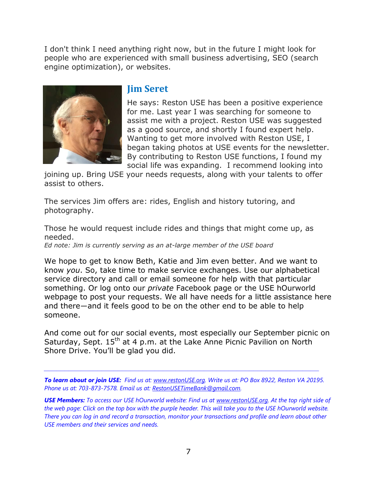I don't think I need anything right now, but in the future I might look for people who are experienced with small business advertising, SEO (search engine optimization), or websites.



#### **Jim Seret**

He says: Reston USE has been a positive experience for me. Last year I was searching for someone to assist me with a project. Reston USE was suggested as a good source, and shortly I found expert help. Wanting to get more involved with Reston USE, I began taking photos at USE events for the newsletter. By contributing to Reston USE functions, I found my social life was expanding. I recommend looking into

joining up. Bring USE your needs requests, along with your talents to offer assist to others.

The services Jim offers are: rides, English and history tutoring, and photography.

Those he would request include rides and things that might come up, as needed.

*Ed note: Jim is currently serving as an at-large member of the USE board*

We hope to get to know Beth, Katie and Jim even better. And we want to know *you*. So, take time to make service exchanges. Use our alphabetical service directory and call or email someone for help with that particular something. Or log onto our *private* Facebook page or the USE hOurworld webpage to post your requests. We all have needs for a little assistance here and there―and it feels good to be on the other end to be able to help someone.

And come out for our social events, most especially our September picnic on Saturday, Sept. 15<sup>th</sup> at 4 p.m. at the Lake Anne Picnic Pavilion on North Shore Drive. You'll be glad you did.

*To learn about or join USE: Find us at: [www.restonUSE.org.](http://www.restonuse.org/) Write us at: PO Box 8922, Reston VA 20195. Phone us at: 703-873-7578. Email us at: [RestonUSETimeBank@gmail.com.](mailto:RestonUSETimeBank@gmail.com)*

*\_\_\_\_\_\_\_\_\_\_\_\_\_\_\_\_\_\_\_\_\_\_\_\_\_\_\_\_\_\_\_\_\_\_\_\_\_\_\_\_\_\_\_\_\_\_\_\_\_\_\_\_\_\_\_\_\_\_\_\_\_\_\_\_\_\_\_*

*USE Members: To access our USE hOurworld website: Find us at [www.restonUSE.org.](http://www.restonuse.org/) At the top right side of the web page: Click on the top box with the purple header. This will take you to the USE hOurworld website. There you can log in and record a transaction, monitor your transactions and profile and learn about other USE members and their services and needs.*